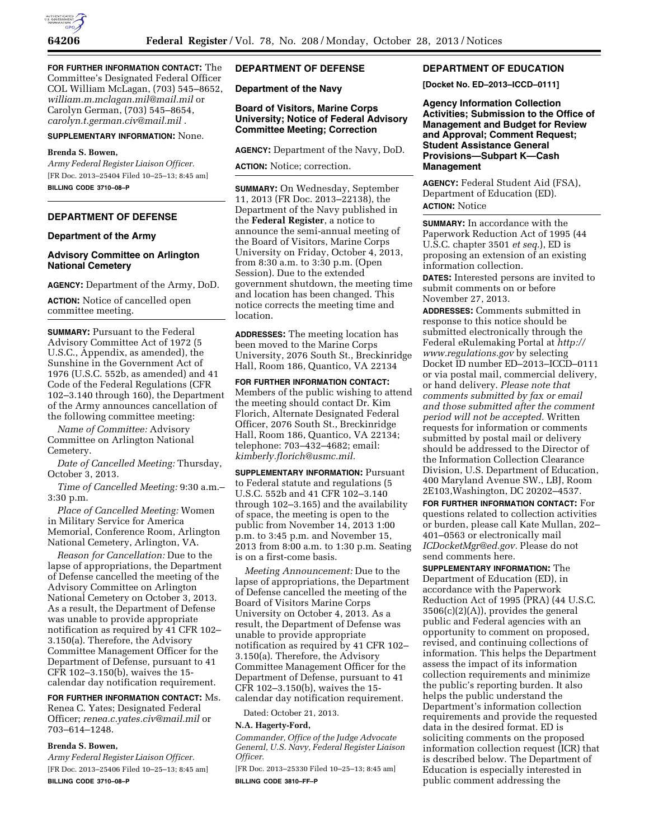

**FOR FURTHER INFORMATION CONTACT:** The Committee's Designated Federal Officer COL William McLagan, (703) 545–8652, *[william.m.mclagan.mil@mail.mil](mailto:william.m.mclagan.mil@mail.mil)* or Carolyn German, (703) 545–8654, *[carolyn.t.german.civ@mail.mil](mailto:carolyn.t.german.civ@mail.mil)* .

#### **SUPPLEMENTARY INFORMATION:** None.

#### **Brenda S. Bowen,**

*Army Federal Register Liaison Officer.*  [FR Doc. 2013–25404 Filed 10–25–13; 8:45 am] **BILLING CODE 3710–08–P** 

# **DEPARTMENT OF DEFENSE**

### **Department of the Army**

## **Advisory Committee on Arlington National Cemetery**

**AGENCY:** Department of the Army, DoD.

**ACTION:** Notice of cancelled open committee meeting.

**SUMMARY: Pursuant to the Federal** Advisory Committee Act of 1972 (5 U.S.C., Appendix, as amended), the Sunshine in the Government Act of 1976 (U.S.C. 552b, as amended) and 41 Code of the Federal Regulations (CFR 102–3.140 through 160), the Department of the Army announces cancellation of the following committee meeting:

*Name of Committee:* Advisory Committee on Arlington National Cemetery.

*Date of Cancelled Meeting:* Thursday, October 3, 2013.

*Time of Cancelled Meeting:* 9:30 a.m.– 3:30 p.m.

*Place of Cancelled Meeting:* Women in Military Service for America Memorial, Conference Room, Arlington National Cemetery, Arlington, VA.

*Reason for Cancellation:* Due to the lapse of appropriations, the Department of Defense cancelled the meeting of the Advisory Committee on Arlington National Cemetery on October 3, 2013. As a result, the Department of Defense was unable to provide appropriate notification as required by 41 CFR 102– 3.150(a). Therefore, the Advisory Committee Management Officer for the Department of Defense, pursuant to 41 CFR 102–3.150(b), waives the 15 calendar day notification requirement.

# **FOR FURTHER INFORMATION CONTACT:** Ms.

Renea C. Yates; Designated Federal Officer; *[renea.c.yates.civ@mail.mil](mailto:renea.c.yates.civ@mail.mil)* or 703–614–1248.

# **Brenda S. Bowen,**

*Army Federal Register Liaison Officer.*  [FR Doc. 2013–25406 Filed 10–25–13; 8:45 am] **BILLING CODE 3710–08–P** 

# **DEPARTMENT OF DEFENSE**

**Department of the Navy** 

## **Board of Visitors, Marine Corps University; Notice of Federal Advisory Committee Meeting; Correction**

**AGENCY:** Department of the Navy, DoD.

**ACTION:** Notice; correction.

**SUMMARY:** On Wednesday, September 11, 2013 (FR Doc. 2013–22138), the Department of the Navy published in the **Federal Register**, a notice to announce the semi-annual meeting of the Board of Visitors, Marine Corps University on Friday, October 4, 2013, from 8:30 a.m. to 3:30 p.m. (Open Session). Due to the extended government shutdown, the meeting time and location has been changed. This notice corrects the meeting time and location.

**ADDRESSES:** The meeting location has been moved to the Marine Corps University, 2076 South St., Breckinridge Hall, Room 186, Quantico, VA 22134

**FOR FURTHER INFORMATION CONTACT:**  Members of the public wishing to attend the meeting should contact Dr. Kim Florich, Alternate Designated Federal Officer, 2076 South St., Breckinridge Hall, Room 186, Quantico, VA 22134; telephone: 703–432–4682; email: *[kimberly.florich@usmc.mil.](mailto:kimberly.florich@usmc.mil)* 

**SUPPLEMENTARY INFORMATION:** Pursuant to Federal statute and regulations (5 U.S.C. 552b and 41 CFR 102–3.140 through 102–3.165) and the availability of space, the meeting is open to the public from November 14, 2013 1:00 p.m. to 3:45 p.m. and November 15, 2013 from 8:00 a.m. to 1:30 p.m. Seating is on a first-come basis.

*Meeting Announcement:* Due to the lapse of appropriations, the Department of Defense cancelled the meeting of the Board of Visitors Marine Corps University on October 4, 2013. As a result, the Department of Defense was unable to provide appropriate notification as required by 41 CFR 102– 3.150(a). Therefore, the Advisory Committee Management Officer for the Department of Defense, pursuant to 41 CFR 102–3.150(b), waives the 15 calendar day notification requirement.

Dated: October 21, 2013.

### **N.A. Hagerty-Ford,**

*Commander, Office of the Judge Advocate General, U.S. Navy, Federal Register Liaison Officer.* 

[FR Doc. 2013–25330 Filed 10–25–13; 8:45 am] **BILLING CODE 3810–FF–P** 

### **DEPARTMENT OF EDUCATION**

**[Docket No. ED–2013–ICCD–0111]** 

**Agency Information Collection Activities; Submission to the Office of Management and Budget for Review and Approval; Comment Request; Student Assistance General Provisions—Subpart K—Cash Management** 

**AGENCY:** Federal Student Aid (FSA), Department of Education (ED). **ACTION:** Notice

**SUMMARY:** In accordance with the Paperwork Reduction Act of 1995 (44 U.S.C. chapter 3501 *et seq.*), ED is proposing an extension of an existing information collection.

**DATES:** Interested persons are invited to submit comments on or before November 27, 2013.

**ADDRESSES:** Comments submitted in response to this notice should be submitted electronically through the Federal eRulemaking Portal at *[http://](http://www.regulations.gov) [www.regulations.gov](http://www.regulations.gov)* by selecting Docket ID number ED–2013–ICCD–0111 or via postal mail, commercial delivery, or hand delivery. *Please note that comments submitted by fax or email and those submitted after the comment period will not be accepted.* Written requests for information or comments submitted by postal mail or delivery should be addressed to the Director of the Information Collection Clearance Division, U.S. Department of Education, 400 Maryland Avenue SW., LBJ, Room 2E103,Washington, DC 20202–4537.

**FOR FURTHER INFORMATION CONTACT:** For questions related to collection activities or burden, please call Kate Mullan, 202– 401–0563 or electronically mail *[ICDocketMgr@ed.gov.](mailto:ICDocketMgr@ed.gov)* Please do not send comments here.

**SUPPLEMENTARY INFORMATION:** The Department of Education (ED), in accordance with the Paperwork Reduction Act of 1995 (PRA) (44 U.S.C. 3506(c)(2)(A)), provides the general public and Federal agencies with an opportunity to comment on proposed, revised, and continuing collections of information. This helps the Department assess the impact of its information collection requirements and minimize the public's reporting burden. It also helps the public understand the Department's information collection requirements and provide the requested data in the desired format. ED is soliciting comments on the proposed information collection request (ICR) that is described below. The Department of Education is especially interested in public comment addressing the